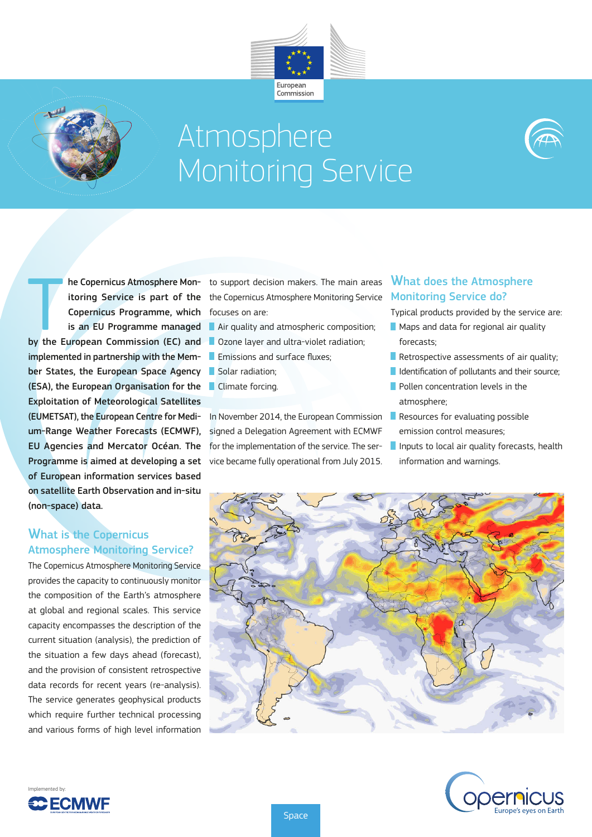



# Atmosphere Monitoring Service



The Copernicus Atmosphere Mon-<br>
itoring Service is part of the<br>
Copernicus Programme, which<br>
is an EU Programme managed<br>
by the European Commission (EC) and Copernicus Programme, which is an EU Programme managed implemented in partnership with the Member States, the European Space Agency (ESA), the European Organisation for the Exploitation of Meteorological Satellites (EUMETSAT), the European Centre for Medium-Range Weather Forecasts (ECMWF), EU Agencies and Mercator Océan. The Programme is aimed at developing a set vice became fully operational from July 2015. of European information services based on satellite Earth Observation and in-situ (non-space) data.

#### What is the Copernicus Atmosphere Monitoring Service?

The Copernicus Atmosphere Monitoring Service provides the capacity to continuously monitor the composition of the Earth's atmosphere at global and regional scales. This service capacity encompasses the description of the current situation (analysis), the prediction of the situation a few days ahead (forecast), and the provision of consistent retrospective data records for recent years (re-analysis). The service generates geophysical products which require further technical processing and various forms of high level information

Implemented by:

**C ECMWF** 

he Copernicus Atmosphere Mon- to support decision makers. The main areas i<mark>toring Service is part of the</mark> the Copernicus Atmosphere Monitoring Service Monitoring Service do? focuses on are:

Air quality and atmospheric composition;

- **Ozone layer and ultra-violet radiation;**
- **Emissions and surface fluxes:**
- Solar radiation:
- **Climate forcing.**

In November 2014, the European Commission Resources for evaluating possible signed a Delegation Agreement with ECMWF for the implementation of the service. The ser-

## What does the Atmosphere

- Typical products provided by the service are:
- Maps and data for regional air quality forecasts;
- Retrospective assessments of air quality;
- $\blacksquare$  Identification of pollutants and their source:
- **Pollen concentration levels in the** atmosphere;
- emission control measures;
- Inputs to local air quality forecasts, health information and warnings.